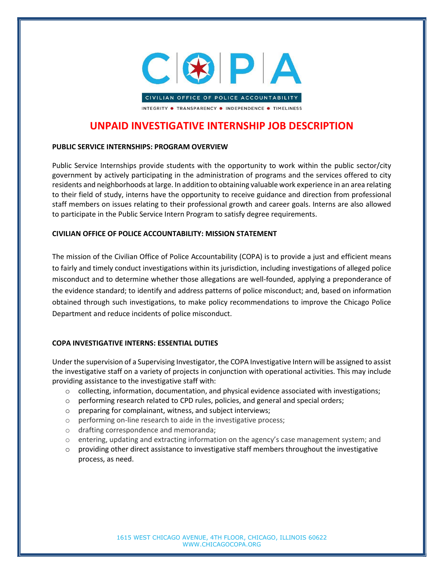

INTEGRITY . TRANSPARENCY . INDEPENDENCE . TIMELINESS

## UNPAID INVESTIGATIVE INTERNSHIP JOB DESCRIPTION

## PUBLIC SERVICE INTERNSHIPS: PROGRAM OVERVIEW

Public Service Internships provide students with the opportunity to work within the public sector/city government by actively participating in the administration of programs and the services offered to city residents and neighborhoods at large. In addition to obtaining valuable work experience in an area relating to their field of study, interns have the opportunity to receive guidance and direction from professional staff members on issues relating to their professional growth and career goals. Interns are also allowed to participate in the Public Service Intern Program to satisfy degree requirements.

## CIVILIAN OFFICE OF POLICE ACCOUNTABILITY: MISSION STATEMENT

The mission of the Civilian Office of Police Accountability (COPA) is to provide a just and efficient means to fairly and timely conduct investigations within its jurisdiction, including investigations of alleged police misconduct and to determine whether those allegations are well-founded, applying a preponderance of the evidence standard; to identify and address patterns of police misconduct; and, based on information obtained through such investigations, to make policy recommendations to improve the Chicago Police Department and reduce incidents of police misconduct.

## COPA INVESTIGATIVE INTERNS: ESSENTIAL DUTIES

Under the supervision of a Supervising Investigator, the COPA Investigative Intern will be assigned to assist the investigative staff on a variety of projects in conjunction with operational activities. This may include providing assistance to the investigative staff with:

- $\circ$  collecting, information, documentation, and physical evidence associated with investigations;
- o performing research related to CPD rules, policies, and general and special orders;
- o preparing for complainant, witness, and subject interviews;
- o performing on-line research to aide in the investigative process;
- o drafting correspondence and memoranda;
- $\circ$  entering, updating and extracting information on the agency's case management system; and
- $\circ$  providing other direct assistance to investigative staff members throughout the investigative process, as need.